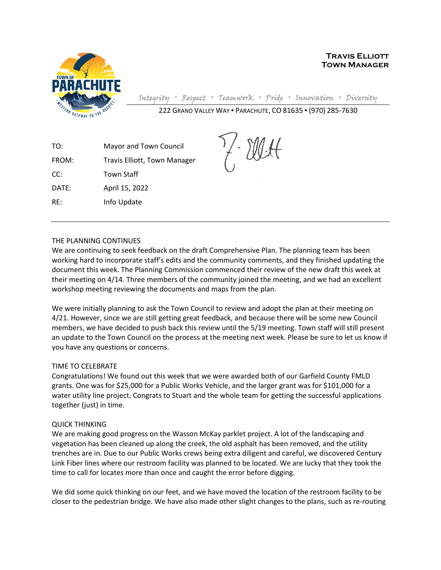

**Travis Elliott Town Manager**

Integrity **▪** Respect **▪** Teamwork **▪** Pride **▪** Innovation **▪** Diversity

222 GRAND VALLEY WAY ▪ PARACHUTE, CO 81635 ▪ (970) 285-7630

TO: Mayor and Town Council FROM: Travis Elliott, Town Manager CC: Town Staff DATE: April 15, 2022 RE: Info Update

## THE PLANNING CONTINUES

We are continuing to seek feedback on the draft Comprehensive Plan. The planning team has been working hard to incorporate staff's edits and the community comments, and they finished updating the document this week. The Planning Commission commenced their review of the new draft this week at their meeting on 4/14. Three members of the community joined the meeting, and we had an excellent workshop meeting reviewing the documents and maps from the plan.

We were initially planning to ask the Town Council to review and adopt the plan at their meeting on 4/21. However, since we are still getting great feedback, and because there will be some new Council members, we have decided to push back this review until the 5/19 meeting. Town staff will still present an update to the Town Council on the process at the meeting next week. Please be sure to let us know if you have any questions or concerns.

## TIME TO CELEBRATE

Congratulations! We found out this week that we were awarded both of our Garfield County FMLD grants. One was for \$25,000 for a Public Works Vehicle, and the larger grant was for \$101,000 for a water utility line project. Congrats to Stuart and the whole team for getting the successful applications together (just) in time.

## QUICK THINKING

We are making good progress on the Wasson McKay parklet project. A lot of the landscaping and vegetation has been cleaned up along the creek, the old asphalt has been removed, and the utility trenches are in. Due to our Public Works crews being extra diligent and careful, we discovered Century Link Fiber lines where our restroom facility was planned to be located. We are lucky that they took the time to call for locates more than once and caught the error before digging.

We did some quick thinking on our feet, and we have moved the location of the restroom facility to be closer to the pedestrian bridge. We have also made other slight changes to the plans, such as re-routing